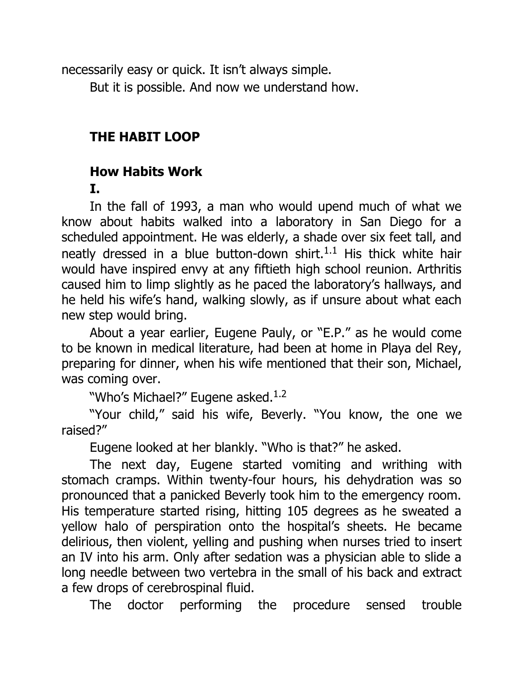necessarily easy or quick. It isn't always simple.

But it is possible. And now we understand how.

## **THE HABIT LOOP**

## **How Habits Work**

## **I.**

In the fall of 1993, a man who would upend much of what we know about habits walked into a laboratory in San Diego for a scheduled appointment. He was elderly, a shade over six feet tall, and neatly dressed in a blue button-down shirt.<sup>1.1</sup> His thick white hair would have inspired envy at any fiftieth high school reunion. Arthritis caused him to limp slightly as he paced the laboratory's hallways, and he held his wife's hand, walking slowly, as if unsure about what each new step would bring.

About a year earlier, Eugene Pauly, or "E.P." as he would come to be known in medical literature, had been at home in Playa del Rey, preparing for dinner, when his wife mentioned that their son, Michael, was coming over.

"Who's Michael?" Eugene asked.<sup>1.2</sup>

"Your child," said his wife, Beverly. "You know, the one we raised?"

Eugene looked at her blankly. "Who is that?" he asked.

The next day, Eugene started vomiting and writhing with stomach cramps. Within twenty-four hours, his dehydration was so pronounced that a panicked Beverly took him to the emergency room. His temperature started rising, hitting 105 degrees as he sweated a yellow halo of perspiration onto the hospital's sheets. He became delirious, then violent, yelling and pushing when nurses tried to insert an IV into his arm. Only after sedation was a physician able to slide a long needle between two vertebra in the small of his back and extract a few drops of cerebrospinal fluid.

The doctor performing the procedure sensed trouble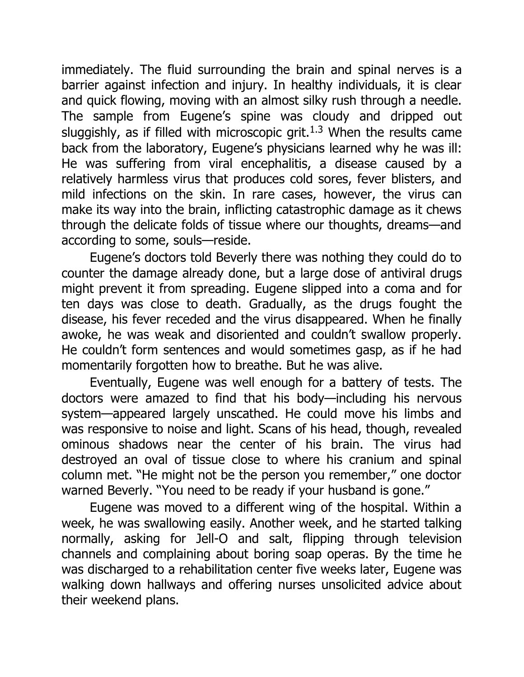immediately. The fluid surrounding the brain and spinal nerves is a barrier against infection and injury. In healthy individuals, it is clear and quick flowing, moving with an almost silky rush through a needle. The sample from Eugene's spine was cloudy and dripped out sluggishly, as if filled with microscopic grit. $^{1.3}$  When the results came back from the laboratory, Eugene's physicians learned why he was ill: He was suffering from viral encephalitis, a disease caused by a relatively harmless virus that produces cold sores, fever blisters, and mild infections on the skin. In rare cases, however, the virus can make its way into the brain, inflicting catastrophic damage as it chews through the delicate folds of tissue where our thoughts, dreams—and according to some, souls—reside.

Eugene's doctors told Beverly there was nothing they could do to counter the damage already done, but a large dose of antiviral drugs might prevent it from spreading. Eugene slipped into a coma and for ten days was close to death. Gradually, as the drugs fought the disease, his fever receded and the virus disappeared. When he finally awoke, he was weak and disoriented and couldn't swallow properly. He couldn't form sentences and would sometimes gasp, as if he had momentarily forgotten how to breathe. But he was alive.

Eventually, Eugene was well enough for a battery of tests. The doctors were amazed to find that his body—including his nervous system—appeared largely unscathed. He could move his limbs and was responsive to noise and light. Scans of his head, though, revealed ominous shadows near the center of his brain. The virus had destroyed an oval of tissue close to where his cranium and spinal column met. "He might not be the person you remember," one doctor warned Beverly. "You need to be ready if your husband is gone."

Eugene was moved to a different wing of the hospital. Within a week, he was swallowing easily. Another week, and he started talking normally, asking for Jell-O and salt, flipping through television channels and complaining about boring soap operas. By the time he was discharged to a rehabilitation center five weeks later, Eugene was walking down hallways and offering nurses unsolicited advice about their weekend plans.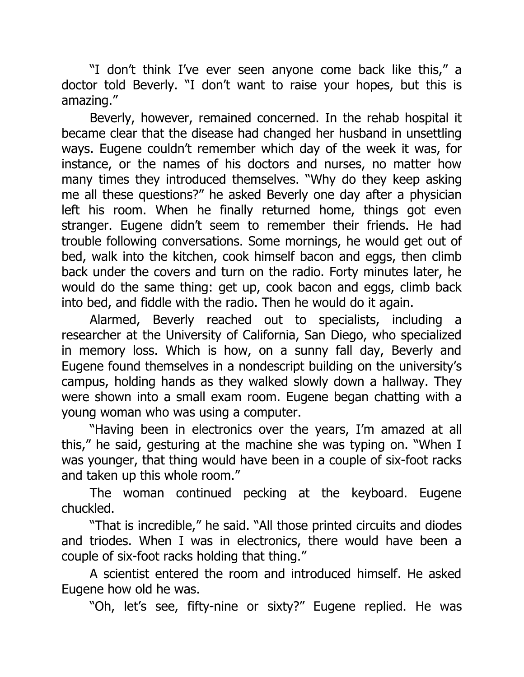"I don't think I've ever seen anyone come back like this," a doctor told Beverly. "I don't want to raise your hopes, but this is amazing."

Beverly, however, remained concerned. In the rehab hospital it became clear that the disease had changed her husband in unsettling ways. Eugene couldn't remember which day of the week it was, for instance, or the names of his doctors and nurses, no matter how many times they introduced themselves. "Why do they keep asking me all these questions?" he asked Beverly one day after a physician left his room. When he finally returned home, things got even stranger. Eugene didn't seem to remember their friends. He had trouble following conversations. Some mornings, he would get out of bed, walk into the kitchen, cook himself bacon and eggs, then climb back under the covers and turn on the radio. Forty minutes later, he would do the same thing: get up, cook bacon and eggs, climb back into bed, and fiddle with the radio. Then he would do it again.

Alarmed, Beverly reached out to specialists, including a researcher at the University of California, San Diego, who specialized in memory loss. Which is how, on a sunny fall day, Beverly and Eugene found themselves in a nondescript building on the university's campus, holding hands as they walked slowly down a hallway. They were shown into a small exam room. Eugene began chatting with a young woman who was using a computer.

"Having been in electronics over the years, I'm amazed at all this," he said, gesturing at the machine she was typing on. "When I was younger, that thing would have been in a couple of six-foot racks and taken up this whole room."

The woman continued pecking at the keyboard. Eugene chuckled.

"That is incredible," he said. "All those printed circuits and diodes and triodes. When I was in electronics, there would have been a couple of six-foot racks holding that thing."

A scientist entered the room and introduced himself. He asked Eugene how old he was.

"Oh, let's see, fifty-nine or sixty?" Eugene replied. He was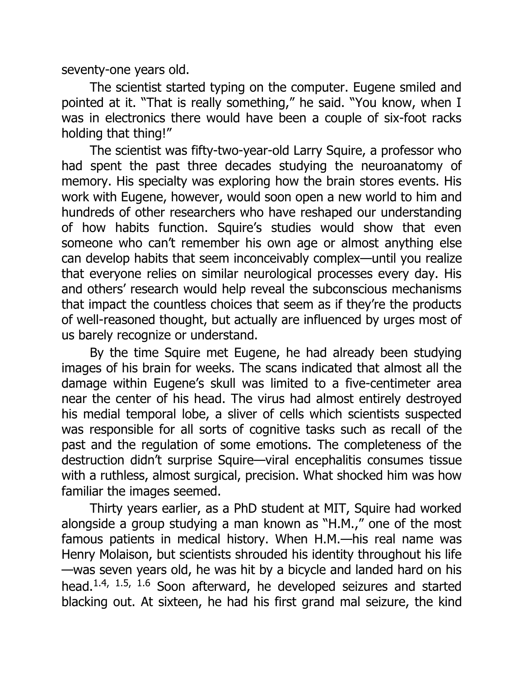seventy-one years old.

The scientist started typing on the computer. Eugene smiled and pointed at it. "That is really something," he said. "You know, when I was in electronics there would have been a couple of six-foot racks holding that thing!"

The scientist was fifty-two-year-old Larry Squire, a professor who had spent the past three decades studying the neuroanatomy of memory. His specialty was exploring how the brain stores events. His work with Eugene, however, would soon open a new world to him and hundreds of other researchers who have reshaped our understanding of how habits function. Squire's studies would show that even someone who can't remember his own age or almost anything else can develop habits that seem inconceivably complex—until you realize that everyone relies on similar neurological processes every day. His and others' research would help reveal the subconscious mechanisms that impact the countless choices that seem as if they're the products of well-reasoned thought, but actually are influenced by urges most of us barely recognize or understand.

By the time Squire met Eugene, he had already been studying images of his brain for weeks. The scans indicated that almost all the damage within Eugene's skull was limited to a five-centimeter area near the center of his head. The virus had almost entirely destroyed his medial temporal lobe, a sliver of cells which scientists suspected was responsible for all sorts of cognitive tasks such as recall of the past and the regulation of some emotions. The completeness of the destruction didn't surprise Squire—viral encephalitis consumes tissue with a ruthless, almost surgical, precision. What shocked him was how familiar the images seemed.

Thirty years earlier, as a PhD student at MIT, Squire had worked alongside a group studying a man known as "H.M.," one of the most famous patients in medical history. When H.M.—his real name was Henry Molaison, but scientists shrouded his identity throughout his life —was seven years old, he was hit by a bicycle and landed hard on his head.<sup>1.4, 1.5, 1.6</sup> Soon afterward, he developed seizures and started blacking out. At sixteen, he had his first grand mal seizure, the kind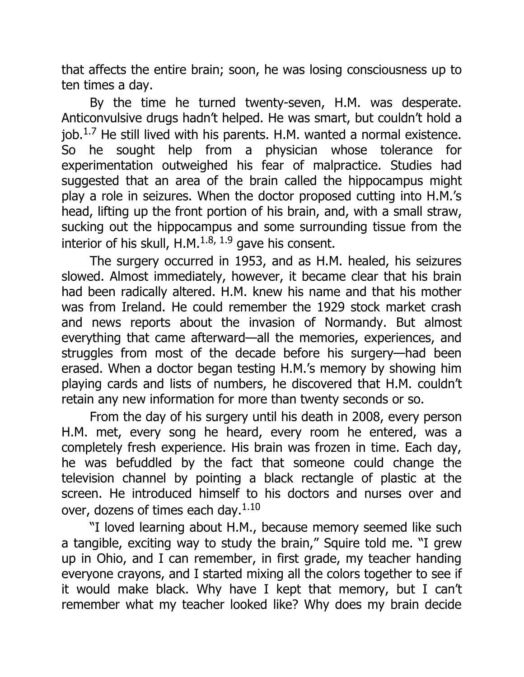that affects the entire brain; soon, he was losing consciousness up to ten times a day.

By the time he turned twenty-seven, H.M. was desperate. Anticonvulsive drugs hadn't helped. He was smart, but couldn't hold a job.<sup>1.7</sup> He still lived with his parents. H.M. wanted a normal existence. So he sought help from a physician whose tolerance for experimentation outweighed his fear of malpractice. Studies had suggested that an area of the brain called the hippocampus might play a role in seizures. When the doctor proposed cutting into H.M.'s head, lifting up the front portion of his brain, and, with a small straw, sucking out the hippocampus and some surrounding tissue from the interior of his skull, H.M. $^{1.8, 1.9}$  gave his consent.

The surgery occurred in 1953, and as H.M. healed, his seizures slowed. Almost immediately, however, it became clear that his brain had been radically altered. H.M. knew his name and that his mother was from Ireland. He could remember the 1929 stock market crash and news reports about the invasion of Normandy. But almost everything that came afterward—all the memories, experiences, and struggles from most of the decade before his surgery—had been erased. When a doctor began testing H.M.'s memory by showing him playing cards and lists of numbers, he discovered that H.M. couldn't retain any new information for more than twenty seconds or so.

From the day of his surgery until his death in 2008, every person H.M. met, every song he heard, every room he entered, was a completely fresh experience. His brain was frozen in time. Each day, he was befuddled by the fact that someone could change the television channel by pointing a black rectangle of plastic at the screen. He introduced himself to his doctors and nurses over and over, dozens of times each day. $^{1.10}$ 

"I loved learning about H.M., because memory seemed like such a tangible, exciting way to study the brain," Squire told me. "I grew up in Ohio, and I can remember, in first grade, my teacher handing everyone crayons, and I started mixing all the colors together to see if it would make black. Why have I kept that memory, but I can't remember what my teacher looked like? Why does my brain decide